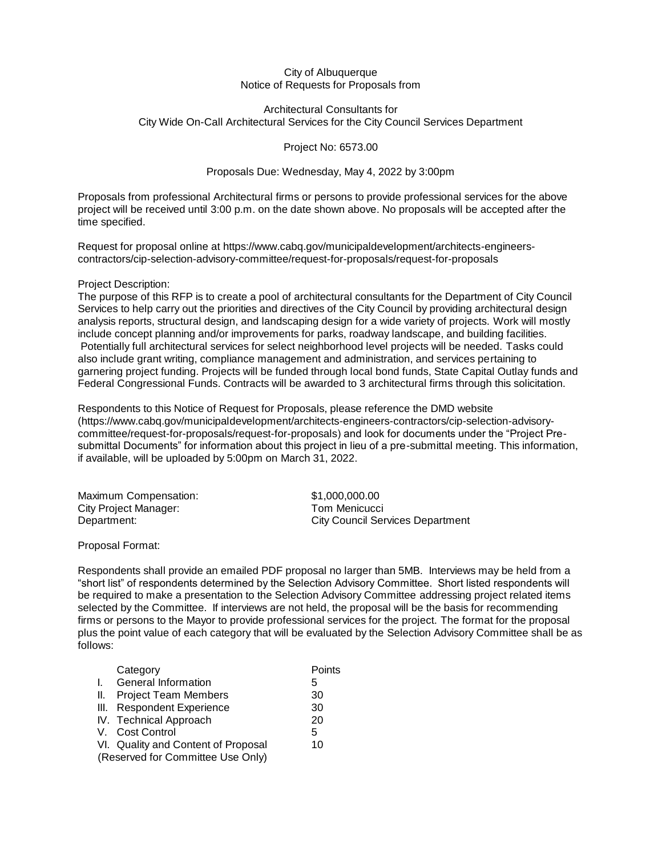## City of Albuquerque Notice of Requests for Proposals from

## Architectural Consultants for City Wide On-Call Architectural Services for the City Council Services Department

Project No: 6573.00

## Proposals Due: Wednesday, May 4, 2022 by 3:00pm

Proposals from professional Architectural firms or persons to provide professional services for the above project will be received until 3:00 p.m. on the date shown above. No proposals will be accepted after the time specified.

Request for proposal online at https://www.cabq.gov/municipaldevelopment/architects-engineerscontractors/cip-selection-advisory-committee/request-for-proposals/request-for-proposals

## Project Description:

The purpose of this RFP is to create a pool of architectural consultants for the Department of City Council Services to help carry out the priorities and directives of the City Council by providing architectural design analysis reports, structural design, and landscaping design for a wide variety of projects. Work will mostly include concept planning and/or improvements for parks, roadway landscape, and building facilities. Potentially full architectural services for select neighborhood level projects will be needed. Tasks could also include grant writing, compliance management and administration, and services pertaining to garnering project funding. Projects will be funded through local bond funds, State Capital Outlay funds and Federal Congressional Funds. Contracts will be awarded to 3 architectural firms through this solicitation.

Respondents to this Notice of Request for Proposals, please reference the DMD website [\(https://www.cabq.gov/municipaldevelopment/architects-engineers-contractors/cip-selection-advisory](https://www.cabq.gov/municipaldevelopment/architects-engineers-contractors/cip-selection-advisory-committee/request-for-proposals/request-for-proposals)[committee/request-for-proposals/request-for-proposals\)](https://www.cabq.gov/municipaldevelopment/architects-engineers-contractors/cip-selection-advisory-committee/request-for-proposals/request-for-proposals) and look for documents under the "Project Presubmittal Documents" for information about this project in lieu of a pre-submittal meeting. This information, if available, will be uploaded by 5:00pm on March 31, 2022.

| Maximum Compensation: | \$1,000,000.00                          |
|-----------------------|-----------------------------------------|
| City Project Manager: | Tom Menicucci                           |
| Department:           | <b>City Council Services Department</b> |

Proposal Format:

Respondents shall provide an emailed PDF proposal no larger than 5MB. Interviews may be held from a "short list" of respondents determined by the Selection Advisory Committee. Short listed respondents will be required to make a presentation to the Selection Advisory Committee addressing project related items selected by the Committee. If interviews are not held, the proposal will be the basis for recommending firms or persons to the Mayor to provide professional services for the project. The format for the proposal plus the point value of each category that will be evaluated by the Selection Advisory Committee shall be as follows:

|    | Category                            | Points |
|----|-------------------------------------|--------|
| Ι. | General Information                 | 5      |
| Ш. | <b>Project Team Members</b>         | 30     |
|    | III. Respondent Experience          | 30     |
|    | IV. Technical Approach              | 20     |
|    | V. Cost Control                     | 5      |
|    | VI. Quality and Content of Proposal | 10     |
|    | (Reserved for Committee Use Only)   |        |